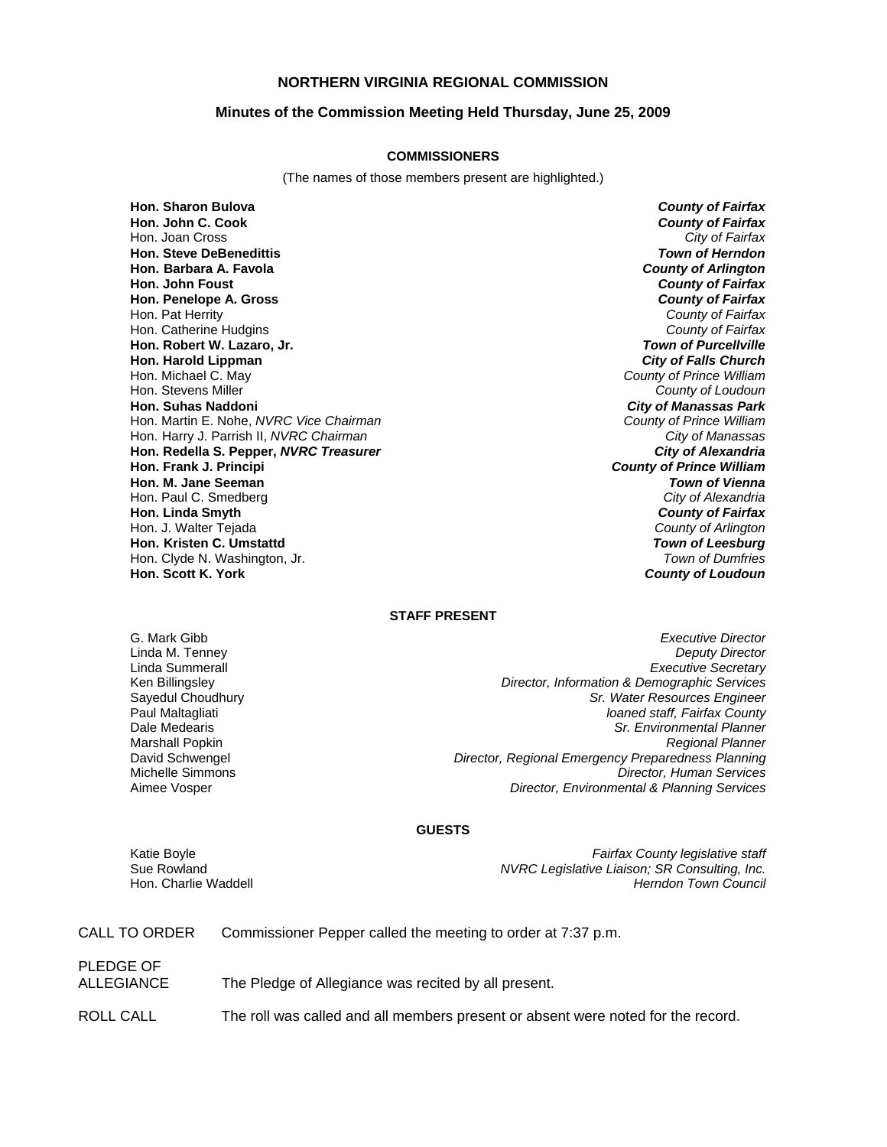### **NORTHERN VIRGINIA REGIONAL COMMISSION**

#### **Minutes of the Commission Meeting Held Thursday, June 25, 2009**

#### **COMMISSIONERS**

(The names of those members present are highlighted.)

**Hon. Sharon Bulova** *County of Fairfax* **Hon. John C. Cook** *County of Fairfax* Hon. Joan Cross **Hon. Steve DeBenedittis** *Town of Herndon* **Hon. Barbara A. Favola** *County of Arlington* **Hon. John Foust** *County of Fairfax* **Hon. Penelope A. Gross** Hon. Pat Herrity *County of Fairfax* Hon. Catherine Hudgins *County of Fairfax* **Hon. Robert W. Lazaro, Jr.** *Town of Purcellville* **Hon. Harold Lippman**<br>**Hon. Michael C. May** Hon. Michael C. May *County of Prince William* Hon. Stevens Miller *County of Loudoun* Hon. Martin E. Nohe, *NVRC Vice Chairman* Hon. Harry J. Parrish II, *NVRC Chairman City of Manassas* **Hon. Redella S. Pepper,** *NVRC Treasurer City of Alexandria* **Hon. Frank J. Principi** *County of Prince William* **Hon. M. Jane Seeman** *Town of Vienna* Hon. Paul C. Smedberg *City of Alexandria* **Hon. Linda Smyth** *County of Fairfax* Hon. J. Walter Tejada *County of Arlington* **Hon. Kristen C. Umstattd** *Town of Leesburg* Hon. Clyde N. Washington, Jr. *Town of Dumfries*

**City of Manassas Park**<br>County of Prince William **Hon. Scott K. York** *County of Loudoun*

#### **STAFF PRESENT**

G. Mark Gibb *Executive Director* **Deputy Director** Linda Summerall *Executive Secretary* Ken Billingsley *Director, Information & Demographic Services* Sayedul Choudhury *Sr. Water Resources Engineer* Paul Maltagliati *loaned staff, Fairfax County* Dale Medearis *Sr. Environmental Planner* Marshall Popkin *Regional Planner* David Schwengel *Director, Regional Emergency Preparedness Planning* Michelle Simmons *Director, Human Services* **Director, Environmental & Planning Services** 

#### **GUESTS**

Katie Boyle *Fairfax County legislative staff* Sue Rowland *NVRC Legislative Liaison; SR Consulting, Inc.* **Herndon Town Council** 

CALL TO ORDER Commissioner Pepper called the meeting to order at 7:37 p.m.

PLEDGE OF

ALLEGIANCE The Pledge of Allegiance was recited by all present.

ROLL CALL The roll was called and all members present or absent were noted for the record.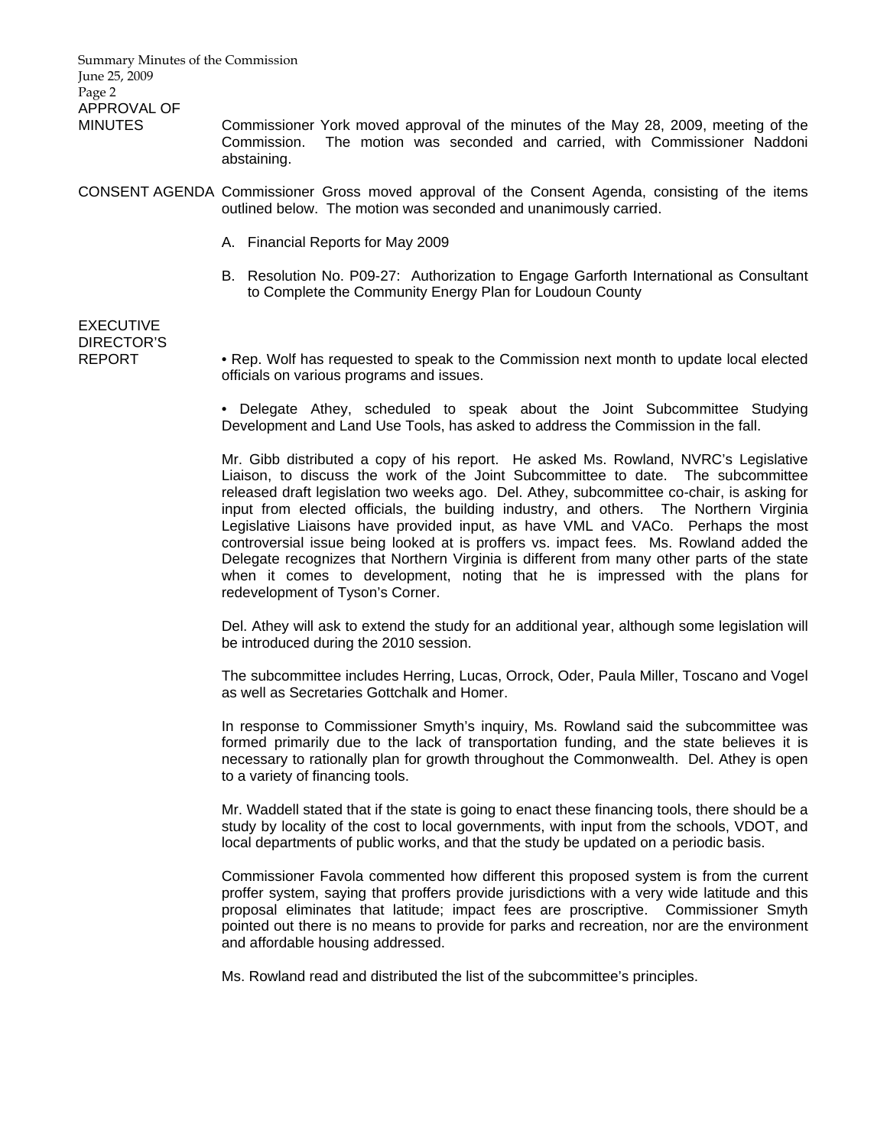Summary Minutes of the Commission June 25, 2009 Page 2 APPROVAL OF MINUTES Commissioner York moved approval of the minutes of the May 28, 2009, meeting of the Commission. The motion was seconded and carried, with Commissioner Naddoni abstaining. CONSENT AGENDA Commissioner Gross moved approval of the Consent Agenda, consisting of the items outlined below. The motion was seconded and unanimously carried. A. Financial Reports for May 2009 B. Resolution No. P09-27: Authorization to Engage Garforth International as Consultant to Complete the Community Energy Plan for Loudoun County EXECUTIVE DIRECTOR'S REPORT • Rep. Wolf has requested to speak to the Commission next month to update local elected officials on various programs and issues. • Delegate Athey, scheduled to speak about the Joint Subcommittee Studying Development and Land Use Tools, has asked to address the Commission in the fall. Mr. Gibb distributed a copy of his report. He asked Ms. Rowland, NVRC's Legislative Liaison, to discuss the work of the Joint Subcommittee to date. The subcommittee released draft legislation two weeks ago. Del. Athey, subcommittee co-chair, is asking for input from elected officials, the building industry, and others. The Northern Virginia Legislative Liaisons have provided input, as have VML and VACo. Perhaps the most controversial issue being looked at is proffers vs. impact fees. Ms. Rowland added the Delegate recognizes that Northern Virginia is different from many other parts of the state when it comes to development, noting that he is impressed with the plans for redevelopment of Tyson's Corner. Del. Athey will ask to extend the study for an additional year, although some legislation will be introduced during the 2010 session. The subcommittee includes Herring, Lucas, Orrock, Oder, Paula Miller, Toscano and Vogel as well as Secretaries Gottchalk and Homer. In response to Commissioner Smyth's inquiry, Ms. Rowland said the subcommittee was formed primarily due to the lack of transportation funding, and the state believes it is necessary to rationally plan for growth throughout the Commonwealth. Del. Athey is open to a variety of financing tools. Mr. Waddell stated that if the state is going to enact these financing tools, there should be a study by locality of the cost to local governments, with input from the schools, VDOT, and local departments of public works, and that the study be updated on a periodic basis. Commissioner Favola commented how different this proposed system is from the current proffer system, saying that proffers provide jurisdictions with a very wide latitude and this proposal eliminates that latitude; impact fees are proscriptive. Commissioner Smyth

Ms. Rowland read and distributed the list of the subcommittee's principles.

and affordable housing addressed.

pointed out there is no means to provide for parks and recreation, nor are the environment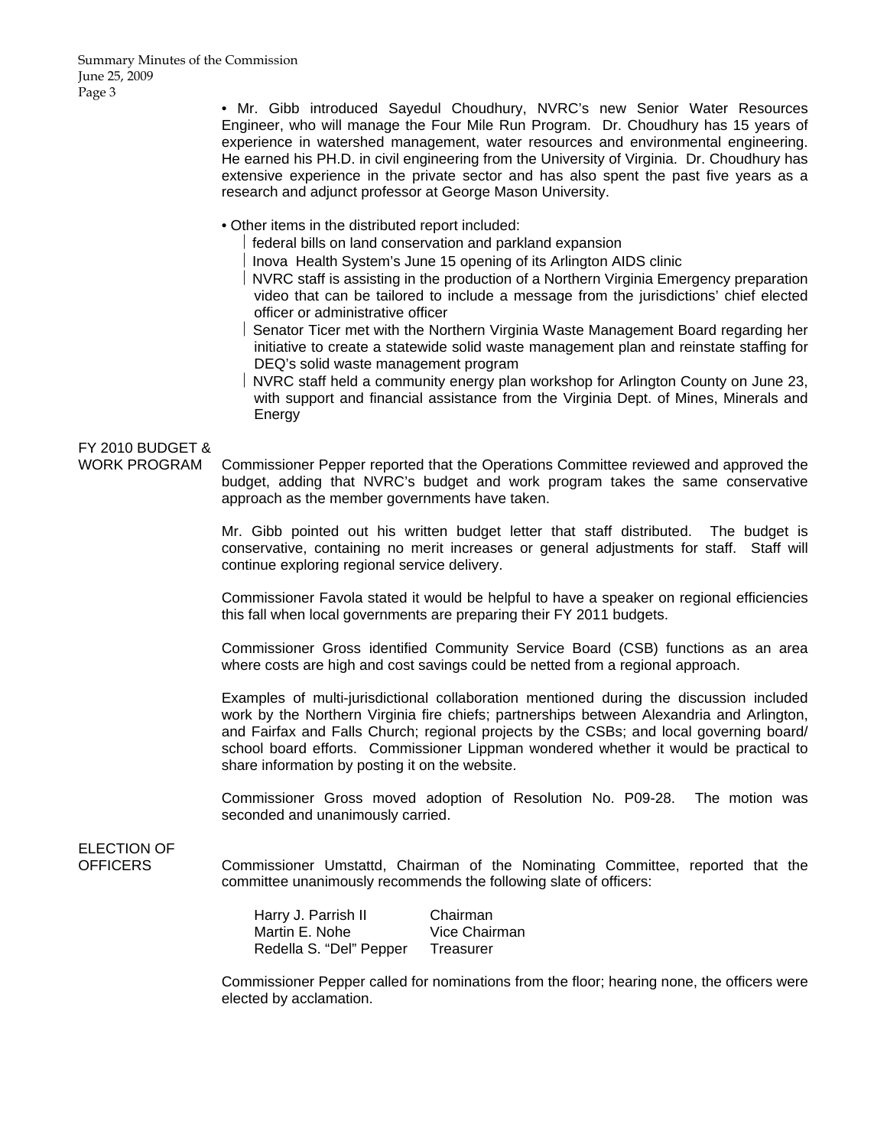• Mr. Gibb introduced Sayedul Choudhury, NVRC's new Senior Water Resources Engineer, who will manage the Four Mile Run Program. Dr. Choudhury has 15 years of experience in watershed management, water resources and environmental engineering. He earned his PH.D. in civil engineering from the University of Virginia. Dr. Choudhury has extensive experience in the private sector and has also spent the past five years as a research and adjunct professor at George Mason University.

• Other items in the distributed report included:

⎪ federal bills on land conservation and parkland expansion

⎪ Inova Health System's June 15 opening of its Arlington AIDS clinic

⎪ NVRC staff is assisting in the production of a Northern Virginia Emergency preparation video that can be tailored to include a message from the jurisdictions' chief elected officer or administrative officer

- ⎪ Senator Ticer met with the Northern Virginia Waste Management Board regarding her initiative to create a statewide solid waste management plan and reinstate staffing for DEQ's solid waste management program
- ⎪ NVRC staff held a community energy plan workshop for Arlington County on June 23, with support and financial assistance from the Virginia Dept. of Mines, Minerals and Energy

## FY 2010 BUDGET &

WORK PROGRAM Commissioner Pepper reported that the Operations Committee reviewed and approved the budget, adding that NVRC's budget and work program takes the same conservative approach as the member governments have taken.

> Mr. Gibb pointed out his written budget letter that staff distributed. The budget is conservative, containing no merit increases or general adjustments for staff. Staff will continue exploring regional service delivery.

> Commissioner Favola stated it would be helpful to have a speaker on regional efficiencies this fall when local governments are preparing their FY 2011 budgets.

> Commissioner Gross identified Community Service Board (CSB) functions as an area where costs are high and cost savings could be netted from a regional approach.

> Examples of multi-jurisdictional collaboration mentioned during the discussion included work by the Northern Virginia fire chiefs; partnerships between Alexandria and Arlington, and Fairfax and Falls Church; regional projects by the CSBs; and local governing board/ school board efforts. Commissioner Lippman wondered whether it would be practical to share information by posting it on the website.

> Commissioner Gross moved adoption of Resolution No. P09-28. The motion was seconded and unanimously carried.

# ELECTION OF

OFFICERS Commissioner Umstattd, Chairman of the Nominating Committee, reported that the committee unanimously recommends the following slate of officers:

> Harry J. Parrish II Chairman Martin E. Nohe Vice Chairman Redella S. "Del" Pepper Treasurer

Commissioner Pepper called for nominations from the floor; hearing none, the officers were elected by acclamation.